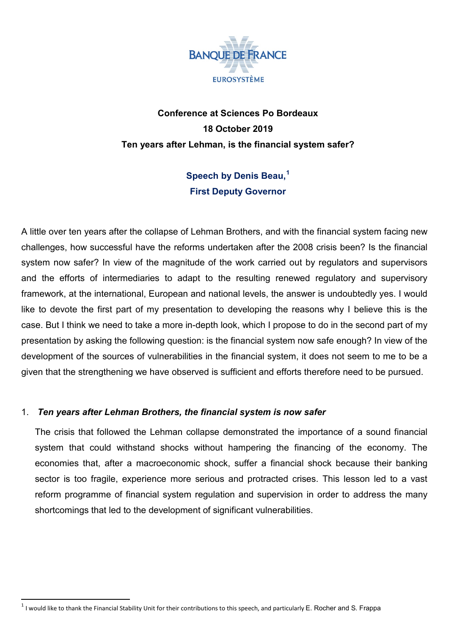

# **Conference at Sciences Po Bordeaux 18 October 2019 Ten years after Lehman, is the financial system safer?**

# **Speech by Denis Beau, [1](#page-0-0) First Deputy Governor**

A little over ten years after the collapse of Lehman Brothers, and with the financial system facing new challenges, how successful have the reforms undertaken after the 2008 crisis been? Is the financial system now safer? In view of the magnitude of the work carried out by regulators and supervisors and the efforts of intermediaries to adapt to the resulting renewed regulatory and supervisory framework, at the international, European and national levels, the answer is undoubtedly yes. I would like to devote the first part of my presentation to developing the reasons why I believe this is the case. But I think we need to take a more in-depth look, which I propose to do in the second part of my presentation by asking the following question: is the financial system now safe enough? In view of the development of the sources of vulnerabilities in the financial system, it does not seem to me to be a given that the strengthening we have observed is sufficient and efforts therefore need to be pursued.

### 1. *Ten years after Lehman Brothers, the financial system is now safer*

The crisis that followed the Lehman collapse demonstrated the importance of a sound financial system that could withstand shocks without hampering the financing of the economy. The economies that, after a macroeconomic shock, suffer a financial shock because their banking sector is too fragile, experience more serious and protracted crises. This lesson led to a vast reform programme of financial system regulation and supervision in order to address the many shortcomings that led to the development of significant vulnerabilities.

<span id="page-0-0"></span> $1$  I would like to thank the Financial Stability Unit for their contributions to this speech, and particularly E. Rocher and S. Frappa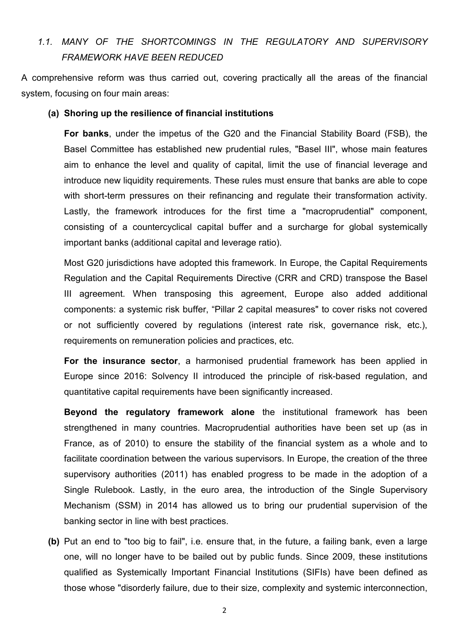## *1.1. MANY OF THE SHORTCOMINGS IN THE REGULATORY AND SUPERVISORY FRAMEWORK HAVE BEEN REDUCED*

A comprehensive reform was thus carried out, covering practically all the areas of the financial system, focusing on four main areas:

#### **(a) Shoring up the resilience of financial institutions**

**For banks**, under the impetus of the G20 and the Financial Stability Board (FSB), the Basel Committee has established new prudential rules, "Basel III", whose main features aim to enhance the level and quality of capital, limit the use of financial leverage and introduce new liquidity requirements. These rules must ensure that banks are able to cope with short-term pressures on their refinancing and regulate their transformation activity. Lastly, the framework introduces for the first time a "macroprudential" component, consisting of a countercyclical capital buffer and a surcharge for global systemically important banks (additional capital and leverage ratio).

Most G20 jurisdictions have adopted this framework. In Europe, the Capital Requirements Regulation and the Capital Requirements Directive (CRR and CRD) transpose the Basel III agreement. When transposing this agreement, Europe also added additional components: a systemic risk buffer, "Pillar 2 capital measures" to cover risks not covered or not sufficiently covered by regulations (interest rate risk, governance risk, etc.), requirements on remuneration policies and practices, etc.

**For the insurance sector**, a harmonised prudential framework has been applied in Europe since 2016: Solvency II introduced the principle of risk-based regulation, and quantitative capital requirements have been significantly increased.

**Beyond the regulatory framework alone** the institutional framework has been strengthened in many countries. Macroprudential authorities have been set up (as in France, as of 2010) to ensure the stability of the financial system as a whole and to facilitate coordination between the various supervisors. In Europe, the creation of the three supervisory authorities (2011) has enabled progress to be made in the adoption of a Single Rulebook. Lastly, in the euro area, the introduction of the Single Supervisory Mechanism (SSM) in 2014 has allowed us to bring our prudential supervision of the banking sector in line with best practices.

**(b)** Put an end to "too big to fail", i.e. ensure that, in the future, a failing bank, even a large one, will no longer have to be bailed out by public funds. Since 2009, these institutions qualified as Systemically Important Financial Institutions (SIFIs) have been defined as those whose "disorderly failure, due to their size, complexity and systemic interconnection,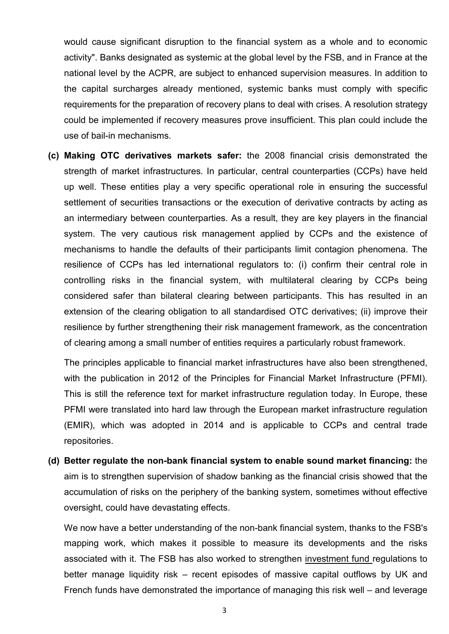would cause significant disruption to the financial system as a whole and to economic activity". Banks designated as systemic at the global level by the FSB, and in France at the national level by the ACPR, are subject to enhanced supervision measures. In addition to the capital surcharges already mentioned, systemic banks must comply with specific requirements for the preparation of recovery plans to deal with crises. A resolution strategy could be implemented if recovery measures prove insufficient. This plan could include the use of bail-in mechanisms.

**(c) Making OTC derivatives markets safer:** the 2008 financial crisis demonstrated the strength of market infrastructures. In particular, central counterparties (CCPs) have held up well. These entities play a very specific operational role in ensuring the successful settlement of securities transactions or the execution of derivative contracts by acting as an intermediary between counterparties. As a result, they are key players in the financial system. The very cautious risk management applied by CCPs and the existence of mechanisms to handle the defaults of their participants limit contagion phenomena. The resilience of CCPs has led international regulators to: (i) confirm their central role in controlling risks in the financial system, with multilateral clearing by CCPs being considered safer than bilateral clearing between participants. This has resulted in an extension of the clearing obligation to all standardised OTC derivatives; (ii) improve their resilience by further strengthening their risk management framework, as the concentration of clearing among a small number of entities requires a particularly robust framework.

The principles applicable to financial market infrastructures have also been strengthened, with the publication in 2012 of the Principles for Financial Market Infrastructure (PFMI). This is still the reference text for market infrastructure regulation today. In Europe, these PFMI were translated into hard law through the European market infrastructure regulation (EMIR), which was adopted in 2014 and is applicable to CCPs and central trade repositories.

**(d) Better regulate the non-bank financial system to enable sound market financing:** the aim is to strengthen supervision of shadow banking as the financial crisis showed that the accumulation of risks on the periphery of the banking system, sometimes without effective oversight, could have devastating effects.

We now have a better understanding of the non-bank financial system, thanks to the FSB's mapping work, which makes it possible to measure its developments and the risks associated with it. The FSB has also worked to strengthen investment fund regulations to better manage liquidity risk – recent episodes of massive capital outflows by UK and French funds have demonstrated the importance of managing this risk well – and leverage

3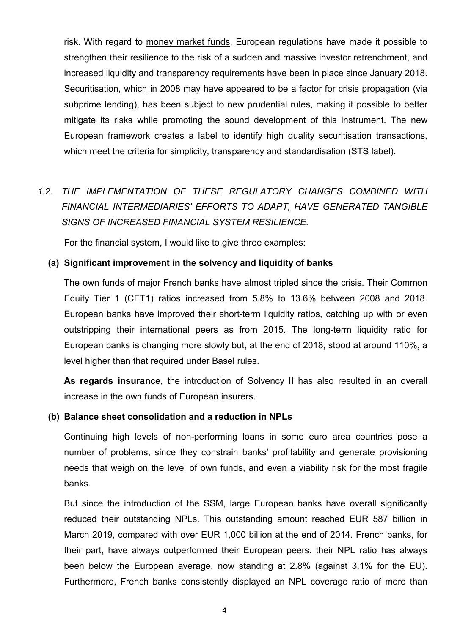risk. With regard to money market funds, European regulations have made it possible to strengthen their resilience to the risk of a sudden and massive investor retrenchment, and increased liquidity and transparency requirements have been in place since January 2018. Securitisation, which in 2008 may have appeared to be a factor for crisis propagation (via subprime lending), has been subject to new prudential rules, making it possible to better mitigate its risks while promoting the sound development of this instrument. The new European framework creates a label to identify high quality securitisation transactions, which meet the criteria for simplicity, transparency and standardisation (STS label).

# *1.2. THE IMPLEMENTATION OF THESE REGULATORY CHANGES COMBINED WITH FINANCIAL INTERMEDIARIES' EFFORTS TO ADAPT, HAVE GENERATED TANGIBLE SIGNS OF INCREASED FINANCIAL SYSTEM RESILIENCE.*

For the financial system, I would like to give three examples:

#### **(a) Significant improvement in the solvency and liquidity of banks**

The own funds of major French banks have almost tripled since the crisis. Their Common Equity Tier 1 (CET1) ratios increased from 5.8% to 13.6% between 2008 and 2018. European banks have improved their short-term liquidity ratios, catching up with or even outstripping their international peers as from 2015. The long-term liquidity ratio for European banks is changing more slowly but, at the end of 2018, stood at around 110%, a level higher than that required under Basel rules.

**As regards insurance**, the introduction of Solvency II has also resulted in an overall increase in the own funds of European insurers.

#### **(b) Balance sheet consolidation and a reduction in NPLs**

Continuing high levels of non-performing loans in some euro area countries pose a number of problems, since they constrain banks' profitability and generate provisioning needs that weigh on the level of own funds, and even a viability risk for the most fragile banks.

But since the introduction of the SSM, large European banks have overall significantly reduced their outstanding NPLs. This outstanding amount reached EUR 587 billion in March 2019, compared with over EUR 1,000 billion at the end of 2014. French banks, for their part, have always outperformed their European peers: their NPL ratio has always been below the European average, now standing at 2.8% (against 3.1% for the EU). Furthermore, French banks consistently displayed an NPL coverage ratio of more than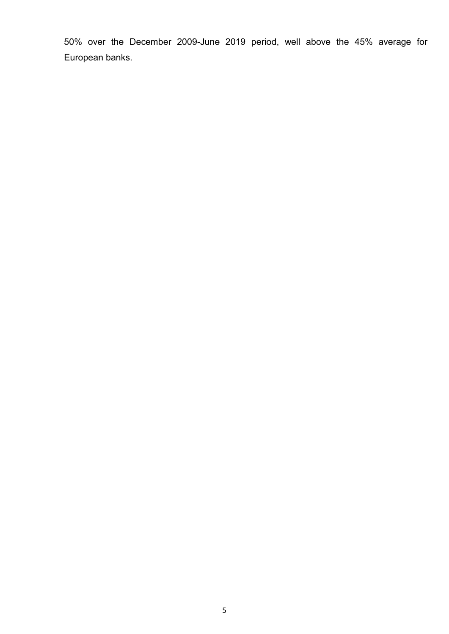50% over the December 2009-June 2019 period, well above the 45% average for European banks.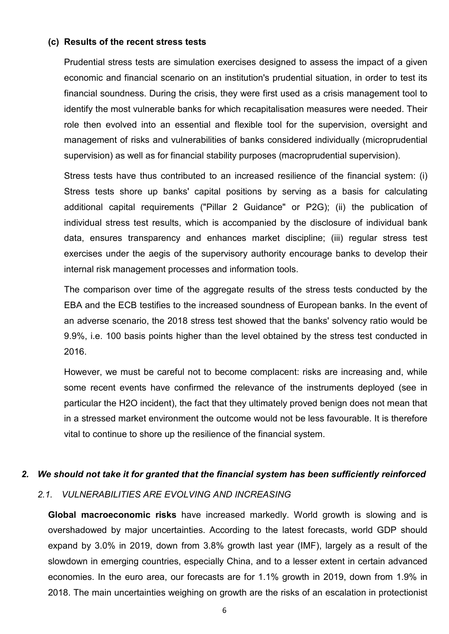#### **(c) Results of the recent stress tests**

Prudential stress tests are simulation exercises designed to assess the impact of a given economic and financial scenario on an institution's prudential situation, in order to test its financial soundness. During the crisis, they were first used as a crisis management tool to identify the most vulnerable banks for which recapitalisation measures were needed. Their role then evolved into an essential and flexible tool for the supervision, oversight and management of risks and vulnerabilities of banks considered individually (microprudential supervision) as well as for financial stability purposes (macroprudential supervision).

Stress tests have thus contributed to an increased resilience of the financial system: (i) Stress tests shore up banks' capital positions by serving as a basis for calculating additional capital requirements ("Pillar 2 Guidance" or P2G); (ii) the publication of individual stress test results, which is accompanied by the disclosure of individual bank data, ensures transparency and enhances market discipline; (iii) regular stress test exercises under the aegis of the supervisory authority encourage banks to develop their internal risk management processes and information tools.

The comparison over time of the aggregate results of the stress tests conducted by the EBA and the ECB testifies to the increased soundness of European banks. In the event of an adverse scenario, the 2018 stress test showed that the banks' solvency ratio would be 9.9%, i.e. 100 basis points higher than the level obtained by the stress test conducted in 2016.

However, we must be careful not to become complacent: risks are increasing and, while some recent events have confirmed the relevance of the instruments deployed (see in particular the H2O incident), the fact that they ultimately proved benign does not mean that in a stressed market environment the outcome would not be less favourable. It is therefore vital to continue to shore up the resilience of the financial system.

#### *2. We should not take it for granted that the financial system has been sufficiently reinforced*

#### *2.1. VULNERABILITIES ARE EVOLVING AND INCREASING*

**Global macroeconomic risks** have increased markedly. World growth is slowing and is overshadowed by major uncertainties. According to the latest forecasts, world GDP should expand by 3.0% in 2019, down from 3.8% growth last year (IMF), largely as a result of the slowdown in emerging countries, especially China, and to a lesser extent in certain advanced economies. In the euro area, our forecasts are for 1.1% growth in 2019, down from 1.9% in 2018. The main uncertainties weighing on growth are the risks of an escalation in protectionist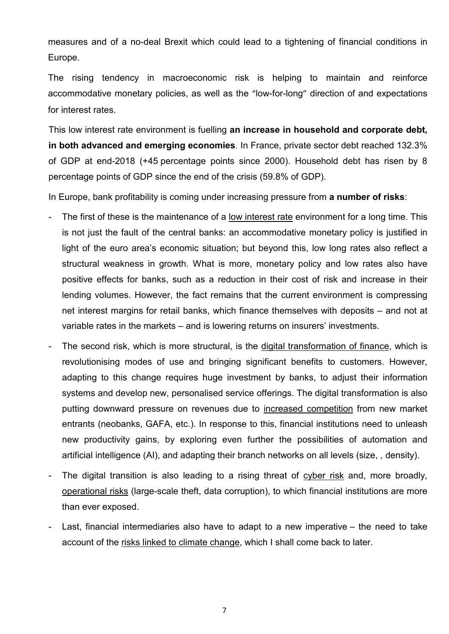measures and of a no-deal Brexit which could lead to a tightening of financial conditions in Europe.

The rising tendency in macroeconomic risk is helping to maintain and reinforce accommodative monetary policies, as well as the "low-for-long" direction of and expectations for interest rates.

This low interest rate environment is fuelling **an increase in household and corporate debt, in both advanced and emerging economies***.* In France, private sector debt reached 132.3% of GDP at end-2018 (+45 percentage points since 2000). Household debt has risen by 8 percentage points of GDP since the end of the crisis (59.8% of GDP).

In Europe, bank profitability is coming under increasing pressure from **a number of risks**:

- The first of these is the maintenance of a low interest rate environment for a long time. This is not just the fault of the central banks: an accommodative monetary policy is justified in light of the euro area's economic situation; but beyond this, low long rates also reflect a structural weakness in growth. What is more, monetary policy and low rates also have positive effects for banks, such as a reduction in their cost of risk and increase in their lending volumes. However, the fact remains that the current environment is compressing net interest margins for retail banks, which finance themselves with deposits – and not at variable rates in the markets – and is lowering returns on insurers' investments.
- The second risk, which is more structural, is the digital transformation of finance, which is revolutionising modes of use and bringing significant benefits to customers. However, adapting to this change requires huge investment by banks, to adjust their information systems and develop new, personalised service offerings. The digital transformation is also putting downward pressure on revenues due to increased competition from new market entrants (neobanks, GAFA, etc.). In response to this, financial institutions need to unleash new productivity gains, by exploring even further the possibilities of automation and artificial intelligence (AI), and adapting their branch networks on all levels (size, , density).
- The digital transition is also leading to a rising threat of cyber risk and, more broadly, operational risks (large-scale theft, data corruption), to which financial institutions are more than ever exposed.
- Last, financial intermediaries also have to adapt to a new imperative the need to take account of the risks linked to climate change, which I shall come back to later.

7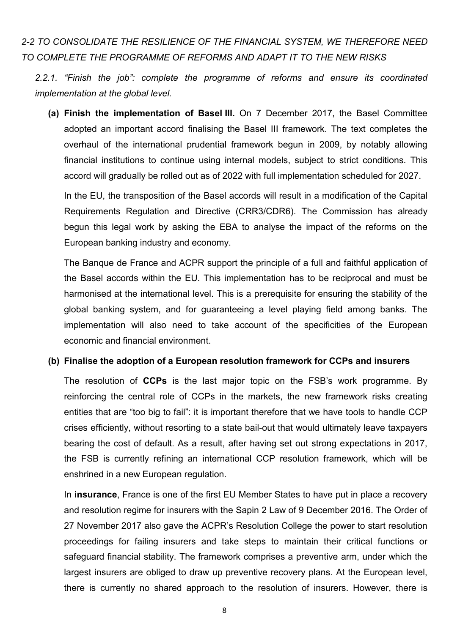## *2-2 TO CONSOLIDATE THE RESILIENCE OF THE FINANCIAL SYSTEM, WE THEREFORE NEED TO COMPLETE THE PROGRAMME OF REFORMS AND ADAPT IT TO THE NEW RISKS*

*2.2.1. "Finish the job": complete the programme of reforms and ensure its coordinated implementation at the global level.*

**(a) Finish the implementation of Basel III.** On 7 December 2017, the Basel Committee adopted an important accord finalising the Basel III framework. The text completes the overhaul of the international prudential framework begun in 2009, by notably allowing financial institutions to continue using internal models, subject to strict conditions. This accord will gradually be rolled out as of 2022 with full implementation scheduled for 2027.

In the EU, the transposition of the Basel accords will result in a modification of the Capital Requirements Regulation and Directive (CRR3/CDR6). The Commission has already begun this legal work by asking the EBA to analyse the impact of the reforms on the European banking industry and economy.

The Banque de France and ACPR support the principle of a full and faithful application of the Basel accords within the EU. This implementation has to be reciprocal and must be harmonised at the international level. This is a prerequisite for ensuring the stability of the global banking system, and for guaranteeing a level playing field among banks. The implementation will also need to take account of the specificities of the European economic and financial environment.

#### **(b) Finalise the adoption of a European resolution framework for CCPs and insurers**

The resolution of **CCPs** is the last major topic on the FSB's work programme. By reinforcing the central role of CCPs in the markets, the new framework risks creating entities that are "too big to fail": it is important therefore that we have tools to handle CCP crises efficiently, without resorting to a state bail-out that would ultimately leave taxpayers bearing the cost of default. As a result, after having set out strong expectations in 2017, the FSB is currently refining an international CCP resolution framework, which will be enshrined in a new European regulation.

In **insurance**, France is one of the first EU Member States to have put in place a recovery and resolution regime for insurers with the Sapin 2 Law of 9 December 2016. The Order of 27 November 2017 also gave the ACPR's Resolution College the power to start resolution proceedings for failing insurers and take steps to maintain their critical functions or safeguard financial stability. The framework comprises a preventive arm, under which the largest insurers are obliged to draw up preventive recovery plans. At the European level, there is currently no shared approach to the resolution of insurers. However, there is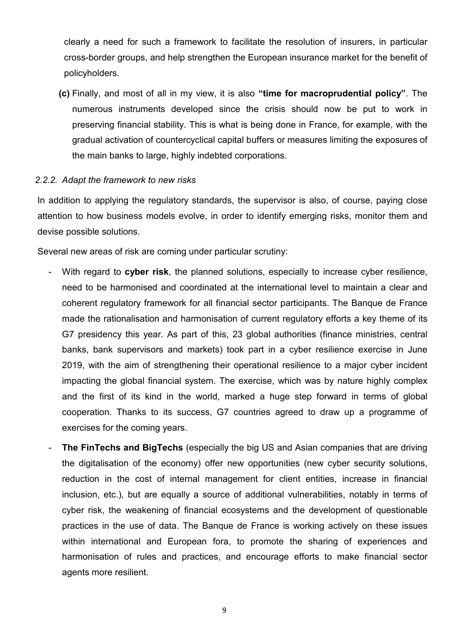clearly a need for such a framework to facilitate the resolution of insurers, in particular cross-border groups, and help strengthen the European insurance market for the benefit of policyholders.

**(c)** Finally, and most of all in my view, it is also **"time for macroprudential policy"**. The numerous instruments developed since the crisis should now be put to work in preserving financial stability. This is what is being done in France, for example, with the gradual activation of countercyclical capital buffers or measures limiting the exposures of the main banks to large, highly indebted corporations.

#### *2.2.2. Adapt the framework to new risks*

In addition to applying the regulatory standards, the supervisor is also, of course, paying close attention to how business models evolve, in order to identify emerging risks, monitor them and devise possible solutions.

Several new areas of risk are coming under particular scrutiny:

- With regard to **cyber risk**, the planned solutions, especially to increase cyber resilience, need to be harmonised and coordinated at the international level to maintain a clear and coherent regulatory framework for all financial sector participants. The Banque de France made the rationalisation and harmonisation of current regulatory efforts a key theme of its G7 presidency this year. As part of this, 23 global authorities (finance ministries, central banks, bank supervisors and markets) took part in a cyber resilience exercise in June 2019, with the aim of strengthening their operational resilience to a major cyber incident impacting the global financial system. The exercise, which was by nature highly complex and the first of its kind in the world, marked a huge step forward in terms of global cooperation. Thanks to its success, G7 countries agreed to draw up a programme of exercises for the coming years.
- **The FinTechs and BigTechs** (especially the big US and Asian companies that are driving the digitalisation of the economy) offer new opportunities (new cyber security solutions, reduction in the cost of internal management for client entities, increase in financial inclusion, etc.), but are equally a source of additional vulnerabilities, notably in terms of cyber risk, the weakening of financial ecosystems and the development of questionable practices in the use of data. The Banque de France is working actively on these issues within international and European fora, to promote the sharing of experiences and harmonisation of rules and practices, and encourage efforts to make financial sector agents more resilient.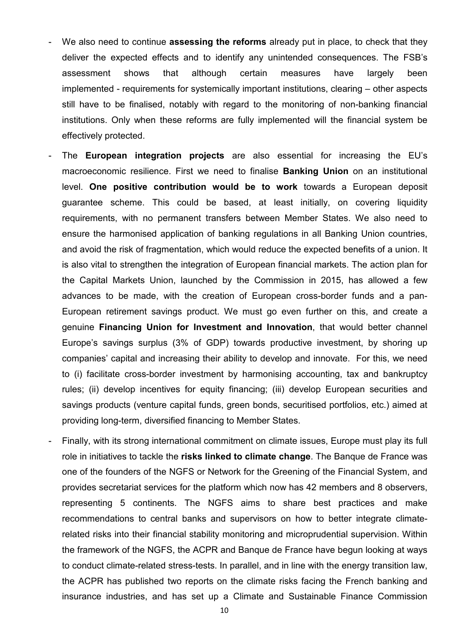- We also need to continue **assessing the reforms** already put in place, to check that they deliver the expected effects and to identify any unintended consequences. The FSB's assessment shows that although certain measures have largely been implemented - requirements for systemically important institutions, clearing – other aspects still have to be finalised, notably with regard to the monitoring of non-banking financial institutions. Only when these reforms are fully implemented will the financial system be effectively protected.
- The **European integration projects** are also essential for increasing the EU's macroeconomic resilience. First we need to finalise **Banking Union** on an institutional level. **One positive contribution would be to work** towards a European deposit guarantee scheme. This could be based, at least initially, on covering liquidity requirements, with no permanent transfers between Member States. We also need to ensure the harmonised application of banking regulations in all Banking Union countries, and avoid the risk of fragmentation, which would reduce the expected benefits of a union. It is also vital to strengthen the integration of European financial markets. The action plan for the Capital Markets Union, launched by the Commission in 2015, has allowed a few advances to be made, with the creation of European cross-border funds and a pan-European retirement savings product. We must go even further on this, and create a genuine **Financing Union for Investment and Innovation**, that would better channel Europe's savings surplus (3% of GDP) towards productive investment, by shoring up companies' capital and increasing their ability to develop and innovate. For this, we need to (i) facilitate cross-border investment by harmonising accounting, tax and bankruptcy rules; (ii) develop incentives for equity financing; (iii) develop European securities and savings products (venture capital funds, green bonds, securitised portfolios, etc.) aimed at providing long-term, diversified financing to Member States.
- Finally, with its strong international commitment on climate issues, Europe must play its full role in initiatives to tackle the **risks linked to climate change**. The Banque de France was one of the founders of the NGFS or Network for the Greening of the Financial System, and provides secretariat services for the platform which now has 42 members and 8 observers, representing 5 continents. The NGFS aims to share best practices and make recommendations to central banks and supervisors on how to better integrate climaterelated risks into their financial stability monitoring and microprudential supervision. Within the framework of the NGFS, the ACPR and Banque de France have begun looking at ways to conduct climate-related stress-tests. In parallel, and in line with the energy transition law, the ACPR has published two reports on the climate risks facing the French banking and insurance industries, and has set up a Climate and Sustainable Finance Commission